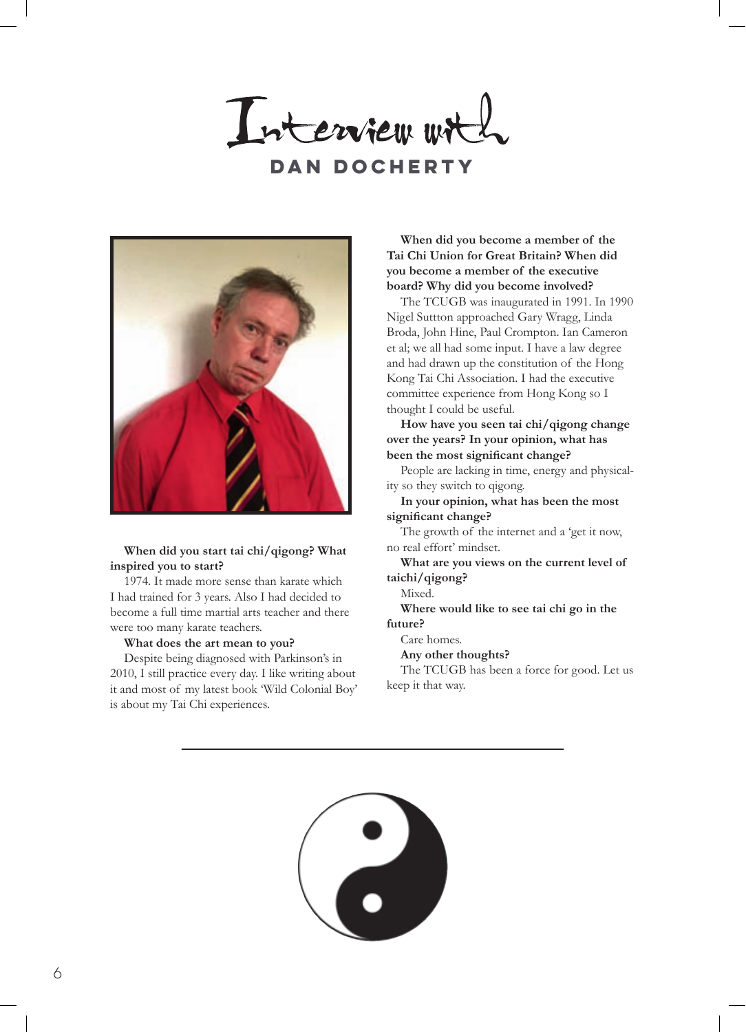Interview wit **Dan Docherty**



1974. It made more sense than karate which I had trained for 3 years. Also I had decided to become a full time martial arts teacher and there were too many karate teachers.

#### **What does the art mean to you?**

Despite being diagnosed with Parkinson's in 2010, I still practice every day. I like writing about it and most of my latest book 'Wild Colonial Boy' is about my Tai Chi experiences.

# **When did you become a member of the Tai Chi Union for Great Britain? When did you become a member of the executive board? Why did you become involved?**

The TCUGB was inaugurated in 1991. In 1990 Nigel Suttton approached Gary Wragg, Linda Broda, John Hine, Paul Crompton. Ian Cameron et al; we all had some input. I have a law degree and had drawn up the constitution of the Hong Kong Tai Chi Association. I had the executive committee experience from Hong Kong so I thought I could be useful.

**How have you seen tai chi/qigong change over the years? In your opinion, what has been the most significant change?**

People are lacking in time, energy and physicality so they switch to qigong.

**In your opinion, what has been the most significant change?**

The growth of the internet and a 'get it now, no real effort' mindset.

**What are you views on the current level of taichi/qigong?**

Mixed.

**Where would like to see tai chi go in the future?** 

Care homes.

**Any other thoughts?** 

The TCUGB has been a force for good. Let us keep it that way.

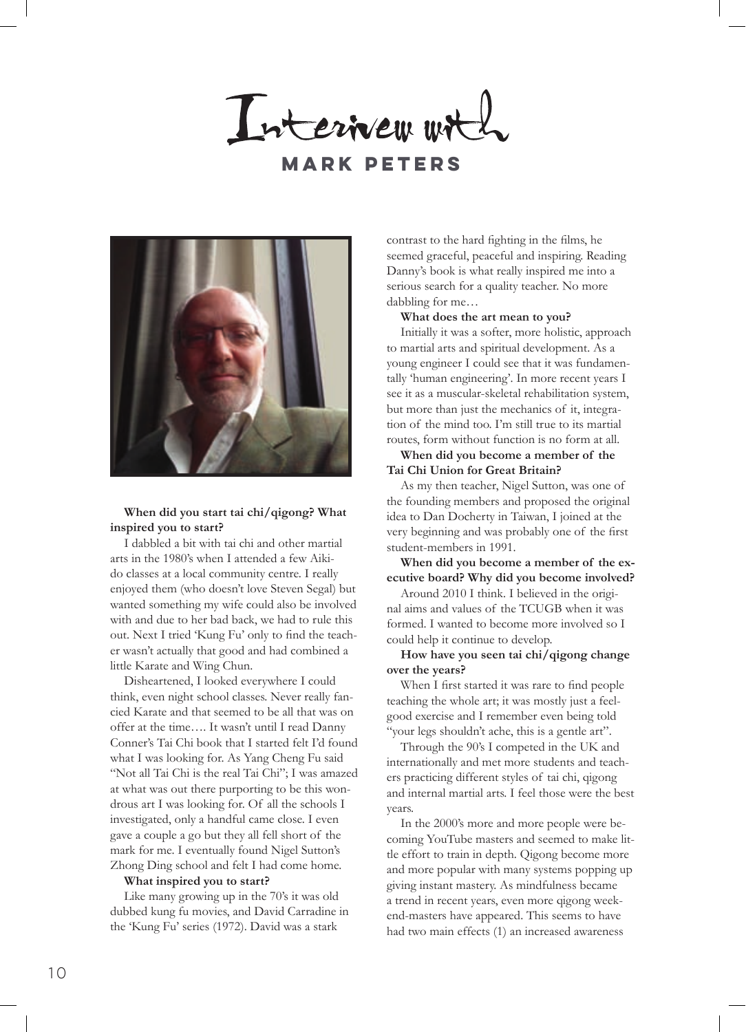Interiver wit





I dabbled a bit with tai chi and other martial arts in the 1980's when I attended a few Aikido classes at a local community centre. I really enjoyed them (who doesn't love Steven Segal) but wanted something my wife could also be involved with and due to her bad back, we had to rule this out. Next I tried 'Kung Fu' only to find the teacher wasn't actually that good and had combined a little Karate and Wing Chun.

Disheartened, I looked everywhere I could think, even night school classes. Never really fancied Karate and that seemed to be all that was on offer at the time…. It wasn't until I read Danny Conner's Tai Chi book that I started felt I'd found what I was looking for. As Yang Cheng Fu said "Not all Tai Chi is the real Tai Chi"; I was amazed at what was out there purporting to be this wondrous art I was looking for. Of all the schools I investigated, only a handful came close. I even gave a couple a go but they all fell short of the mark for me. I eventually found Nigel Sutton's Zhong Ding school and felt I had come home.

#### **What inspired you to start?**

Like many growing up in the 70's it was old dubbed kung fu movies, and David Carradine in the 'Kung Fu' series (1972). David was a stark

contrast to the hard fighting in the films, he seemed graceful, peaceful and inspiring. Reading Danny's book is what really inspired me into a serious search for a quality teacher. No more dabbling for me…

#### **What does the art mean to you?**

Initially it was a softer, more holistic, approach to martial arts and spiritual development. As a young engineer I could see that it was fundamentally 'human engineering'. In more recent years I see it as a muscular-skeletal rehabilitation system, but more than just the mechanics of it, integration of the mind too. I'm still true to its martial routes, form without function is no form at all.

# **When did you become a member of the Tai Chi Union for Great Britain?**

As my then teacher, Nigel Sutton, was one of the founding members and proposed the original idea to Dan Docherty in Taiwan, I joined at the very beginning and was probably one of the first student-members in 1991.

**When did you become a member of the executive board? Why did you become involved?**

Around 2010 I think. I believed in the original aims and values of the TCUGB when it was formed. I wanted to become more involved so I could help it continue to develop.

## **How have you seen tai chi/qigong change over the years?**

When I first started it was rare to find people teaching the whole art; it was mostly just a feelgood exercise and I remember even being told "your legs shouldn't ache, this is a gentle art".

Through the 90's I competed in the UK and internationally and met more students and teachers practicing different styles of tai chi, qigong and internal martial arts. I feel those were the best years.

In the 2000's more and more people were becoming YouTube masters and seemed to make little effort to train in depth. Qigong become more and more popular with many systems popping up giving instant mastery. As mindfulness became a trend in recent years, even more qigong weekend-masters have appeared. This seems to have had two main effects (1) an increased awareness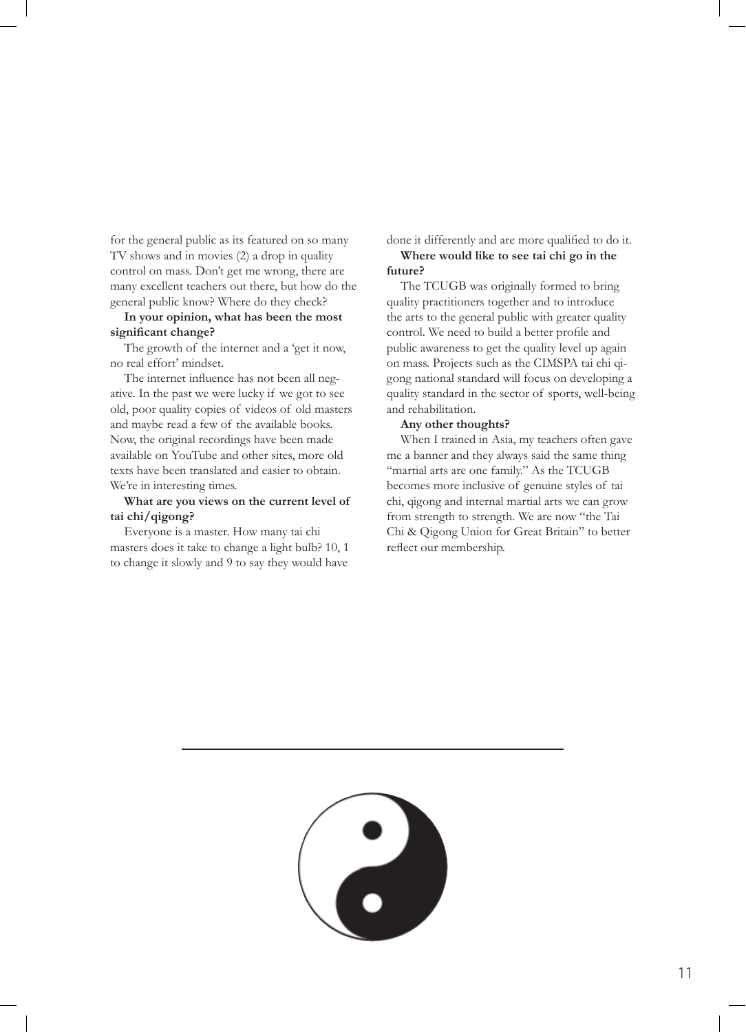for the general public as its featured on so many TV shows and in movies (2) a drop in quality control on mass. Don't get me wrong, there are many excellent teachers out there, but how do the general public know? Where do they check?

#### **In your opinion, what has been the most significant change?**

The growth of the internet and a 'get it now, no real effort' mindset.

The internet influence has not been all negative. In the past we were lucky if we got to see old, poor quality copies of videos of old masters and maybe read a few of the available books. Now, the original recordings have been made available on YouTube and other sites, more old texts have been translated and easier to obtain. We're in interesting times.

# **What are you views on the current level of tai chi/qigong?**

Everyone is a master. How many tai chi masters does it take to change a light bulb? 10, 1 to change it slowly and 9 to say they would have

done it differently and are more qualified to do it. **Where would like to see tai chi go in the** 

# **future?**

The TCUGB was originally formed to bring quality practitioners together and to introduce the arts to the general public with greater quality control. We need to build a better profile and public awareness to get the quality level up again on mass. Projects such as the CIMSPA tai chi qigong national standard will focus on developing a quality standard in the sector of sports, well-being and rehabilitation.

#### **Any other thoughts?**

When I trained in Asia, my teachers often gave me a banner and they always said the same thing "martial arts are one family." As the TCUGB becomes more inclusive of genuine styles of tai chi, qigong and internal martial arts we can grow from strength to strength. We are now "the Tai Chi & Qigong Union for Great Britain" to better reflect our membership.

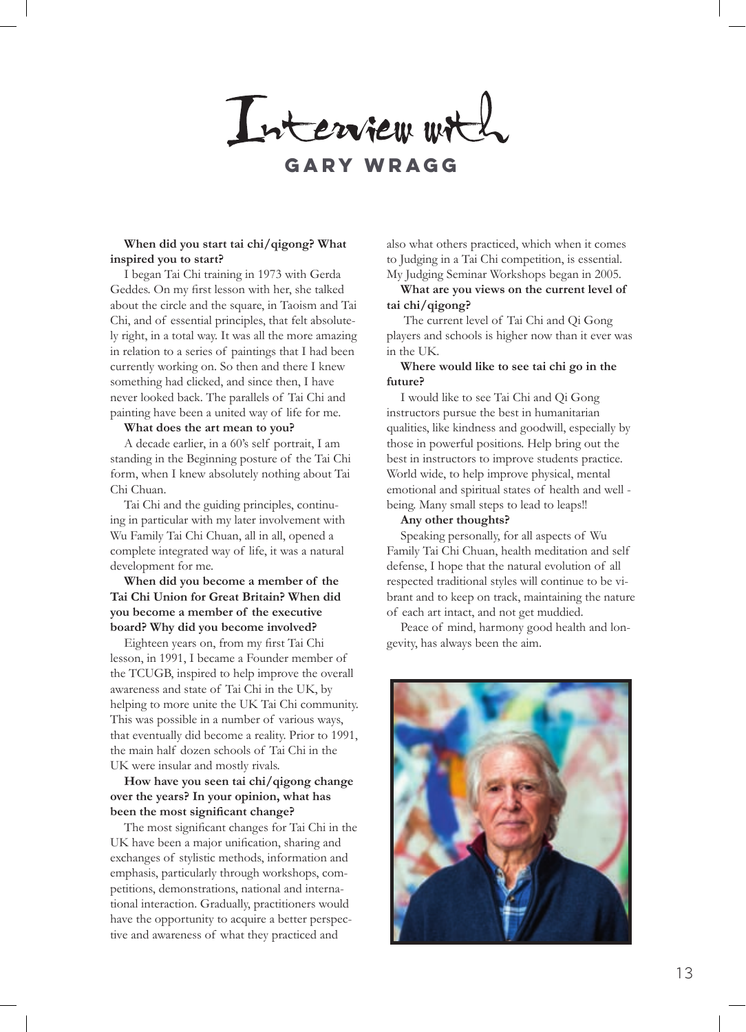Interview with

# **Gary Wragg**

#### **When did you start tai chi/qigong? What inspired you to start?**

I began Tai Chi training in 1973 with Gerda Geddes. On my first lesson with her, she talked about the circle and the square, in Taoism and Tai Chi, and of essential principles, that felt absolutely right, in a total way. It was all the more amazing in relation to a series of paintings that I had been currently working on. So then and there I knew something had clicked, and since then, I have never looked back. The parallels of Tai Chi and painting have been a united way of life for me.

## **What does the art mean to you?**

A decade earlier, in a 60's self portrait, I am standing in the Beginning posture of the Tai Chi form, when I knew absolutely nothing about Tai Chi Chuan.

Tai Chi and the guiding principles, continuing in particular with my later involvement with Wu Family Tai Chi Chuan, all in all, opened a complete integrated way of life, it was a natural development for me.

# **When did you become a member of the Tai Chi Union for Great Britain? When did you become a member of the executive board? Why did you become involved?**

Eighteen years on, from my first Tai Chi lesson, in 1991, I became a Founder member of the TCUGB, inspired to help improve the overall awareness and state of Tai Chi in the UK, by helping to more unite the UK Tai Chi community. This was possible in a number of various ways, that eventually did become a reality. Prior to 1991, the main half dozen schools of Tai Chi in the UK were insular and mostly rivals.

# **How have you seen tai chi/qigong change over the years? In your opinion, what has been the most significant change?**

The most significant changes for Tai Chi in the UK have been a major unification, sharing and exchanges of stylistic methods, information and emphasis, particularly through workshops, competitions, demonstrations, national and international interaction. Gradually, practitioners would have the opportunity to acquire a better perspective and awareness of what they practiced and

also what others practiced, which when it comes to Judging in a Tai Chi competition, is essential. My Judging Seminar Workshops began in 2005.

#### **What are you views on the current level of tai chi/qigong?**

 The current level of Tai Chi and Qi Gong players and schools is higher now than it ever was in the UK.

## **Where would like to see tai chi go in the future?**

I would like to see Tai Chi and Qi Gong instructors pursue the best in humanitarian qualities, like kindness and goodwill, especially by those in powerful positions. Help bring out the best in instructors to improve students practice. World wide, to help improve physical, mental emotional and spiritual states of health and well being. Many small steps to lead to leaps!!

#### **Any other thoughts?**

Speaking personally, for all aspects of Wu Family Tai Chi Chuan, health meditation and self defense, I hope that the natural evolution of all respected traditional styles will continue to be vibrant and to keep on track, maintaining the nature of each art intact, and not get muddied.

Peace of mind, harmony good health and longevity, has always been the aim.

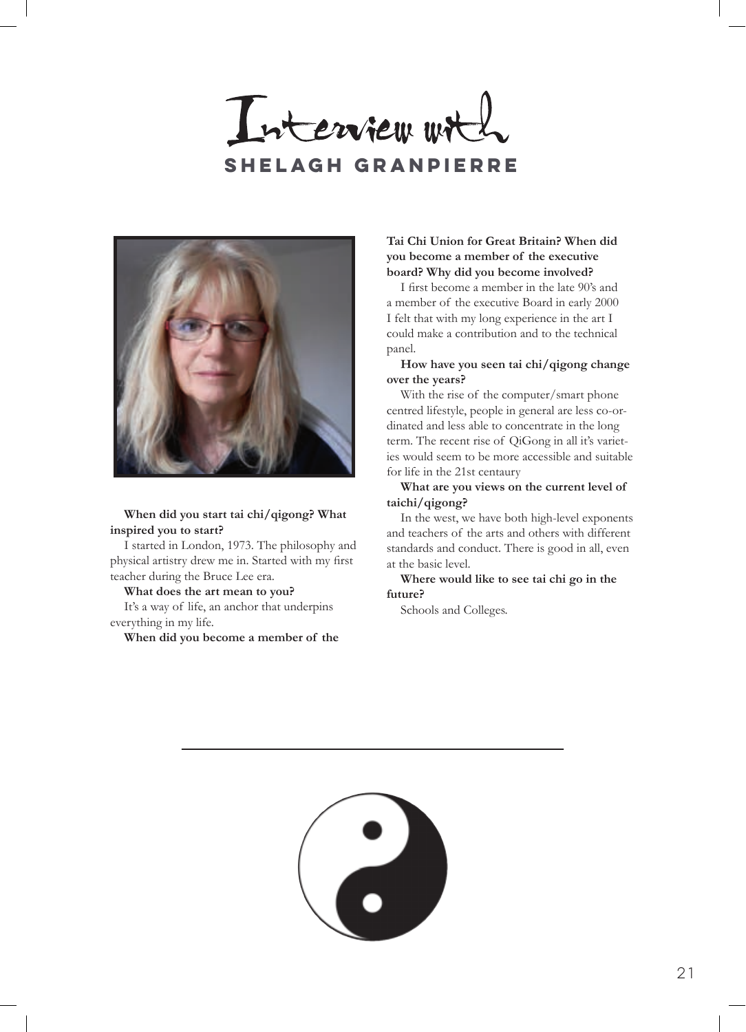Interview with **Shelagh Granpierre**



I started in London, 1973. The philosophy and physical artistry drew me in. Started with my first teacher during the Bruce Lee era.

**What does the art mean to you?** It's a way of life, an anchor that underpins everything in my life.

**When did you become a member of the** 

# **Tai Chi Union for Great Britain? When did you become a member of the executive board? Why did you become involved?**

I first become a member in the late 90's and a member of the executive Board in early 2000 I felt that with my long experience in the art I could make a contribution and to the technical panel.

# **How have you seen tai chi/qigong change over the years?**

With the rise of the computer/smart phone centred lifestyle, people in general are less co-ordinated and less able to concentrate in the long term. The recent rise of QiGong in all it's varieties would seem to be more accessible and suitable for life in the 21st centaury

**What are you views on the current level of taichi/qigong?**

In the west, we have both high-level exponents and teachers of the arts and others with different standards and conduct. There is good in all, even at the basic level.

**Where would like to see tai chi go in the future?** 

Schools and Colleges.

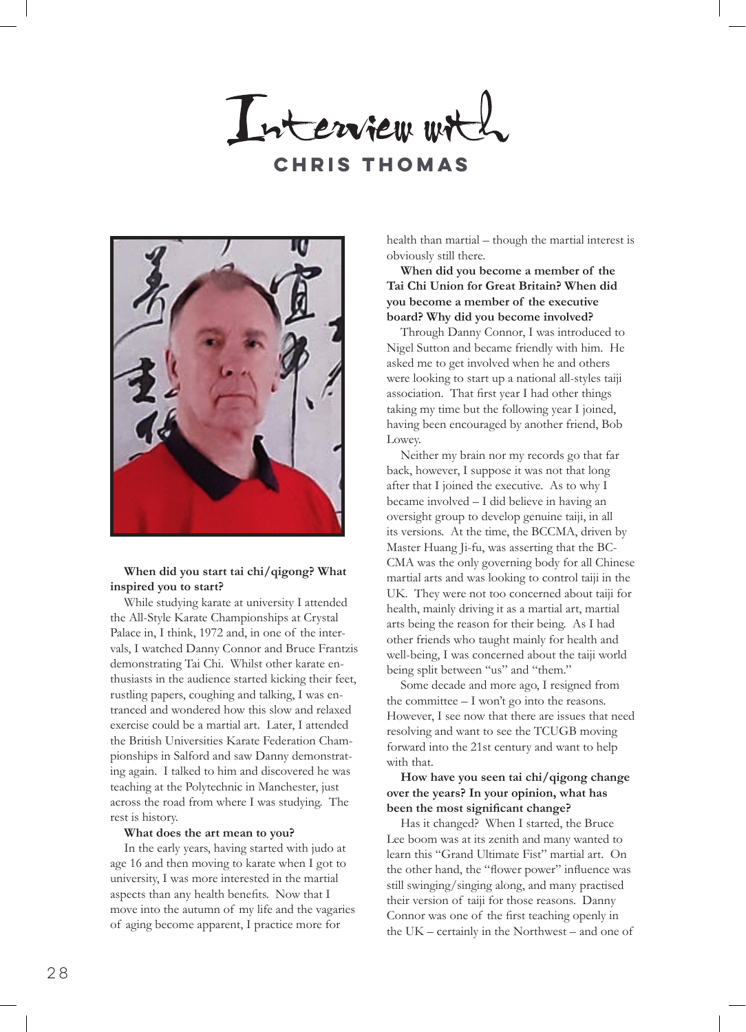Interview wit **Chris Thomas**



While studying karate at university I attended the All-Style Karate Championships at Crystal Palace in, I think, 1972 and, in one of the intervals, I watched Danny Connor and Bruce Frantzis demonstrating Tai Chi. Whilst other karate enthusiasts in the audience started kicking their feet, rustling papers, coughing and talking, I was entranced and wondered how this slow and relaxed exercise could be a martial art. Later, I attended the British Universities Karate Federation Championships in Salford and saw Danny demonstrating again. I talked to him and discovered he was teaching at the Polytechnic in Manchester, just across the road from where I was studying. The rest is history.

#### **What does the art mean to you?**

In the early years, having started with judo at age 16 and then moving to karate when I got to university, I was more interested in the martial aspects than any health benefits. Now that I move into the autumn of my life and the vagaries of aging become apparent, I practice more for

health than martial – though the martial interest is obviously still there.

# **When did you become a member of the Tai Chi Union for Great Britain? When did you become a member of the executive board? Why did you become involved?**

Through Danny Connor, I was introduced to Nigel Sutton and became friendly with him. He asked me to get involved when he and others were looking to start up a national all-styles taiji association. That first year I had other things taking my time but the following year I joined, having been encouraged by another friend, Bob Lowey.

Neither my brain nor my records go that far back, however, I suppose it was not that long after that I joined the executive. As to why I became involved – I did believe in having an oversight group to develop genuine taiji, in all its versions. At the time, the BCCMA, driven by Master Huang Ji-fu, was asserting that the BC-CMA was the only governing body for all Chinese martial arts and was looking to control taiji in the UK. They were not too concerned about taiji for health, mainly driving it as a martial art, martial arts being the reason for their being. As I had other friends who taught mainly for health and well-being, I was concerned about the taiji world being split between "us" and "them."

Some decade and more ago, I resigned from the committee – I won't go into the reasons. However, I see now that there are issues that need resolving and want to see the TCUGB moving forward into the 21st century and want to help with that.

## **How have you seen tai chi/qigong change over the years? In your opinion, what has been the most significant change?**

Has it changed? When I started, the Bruce Lee boom was at its zenith and many wanted to learn this "Grand Ultimate Fist" martial art. On the other hand, the "flower power" influence was still swinging/singing along, and many practised their version of taiji for those reasons. Danny Connor was one of the first teaching openly in the UK – certainly in the Northwest – and one of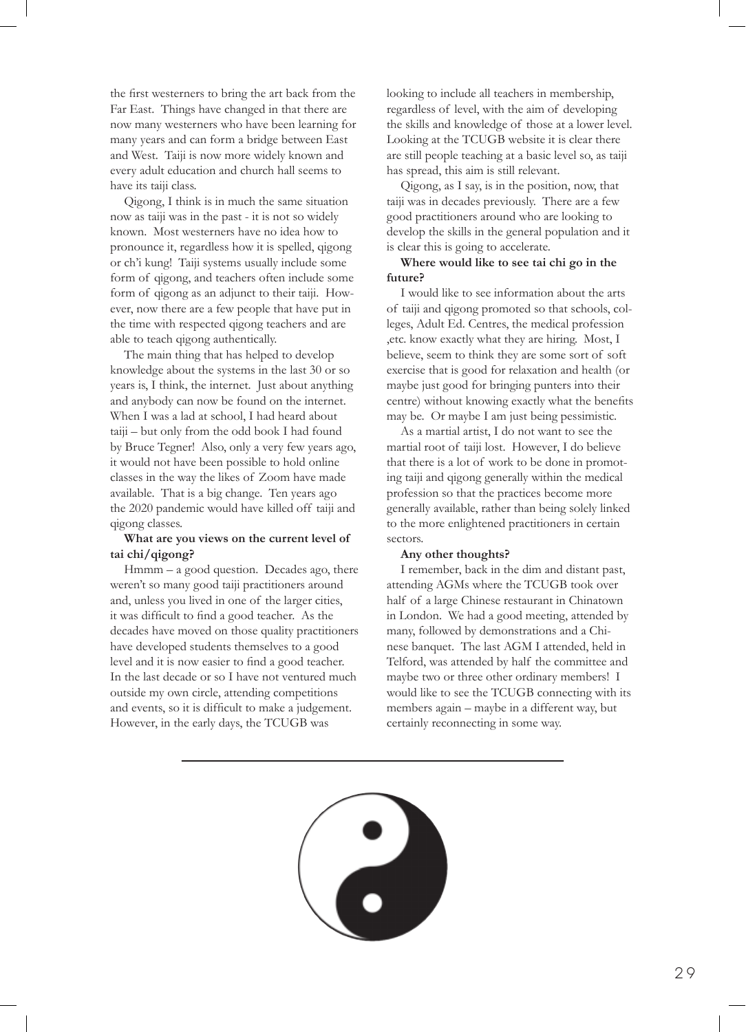the first westerners to bring the art back from the Far East. Things have changed in that there are now many westerners who have been learning for many years and can form a bridge between East and West. Taiji is now more widely known and every adult education and church hall seems to have its taiji class.

Qigong, I think is in much the same situation now as taiji was in the past - it is not so widely known. Most westerners have no idea how to pronounce it, regardless how it is spelled, qigong or ch'i kung! Taiji systems usually include some form of qigong, and teachers often include some form of qigong as an adjunct to their taiji. However, now there are a few people that have put in the time with respected qigong teachers and are able to teach qigong authentically.

The main thing that has helped to develop knowledge about the systems in the last 30 or so years is, I think, the internet. Just about anything and anybody can now be found on the internet. When I was a lad at school, I had heard about taiji – but only from the odd book I had found by Bruce Tegner! Also, only a very few years ago, it would not have been possible to hold online classes in the way the likes of Zoom have made available. That is a big change. Ten years ago the 2020 pandemic would have killed off taiji and qigong classes.

#### **What are you views on the current level of tai chi/qigong?**

Hmmm – a good question. Decades ago, there weren't so many good taiji practitioners around and, unless you lived in one of the larger cities, it was difficult to find a good teacher. As the decades have moved on those quality practitioners have developed students themselves to a good level and it is now easier to find a good teacher. In the last decade or so I have not ventured much outside my own circle, attending competitions and events, so it is difficult to make a judgement. However, in the early days, the TCUGB was

looking to include all teachers in membership, regardless of level, with the aim of developing the skills and knowledge of those at a lower level. Looking at the TCUGB website it is clear there are still people teaching at a basic level so, as taiji has spread, this aim is still relevant.

Qigong, as I say, is in the position, now, that taiji was in decades previously. There are a few good practitioners around who are looking to develop the skills in the general population and it is clear this is going to accelerate.

# **Where would like to see tai chi go in the future?**

I would like to see information about the arts of taiji and qigong promoted so that schools, colleges, Adult Ed. Centres, the medical profession ,etc. know exactly what they are hiring. Most, I believe, seem to think they are some sort of soft exercise that is good for relaxation and health (or maybe just good for bringing punters into their centre) without knowing exactly what the benefits may be. Or maybe I am just being pessimistic.

As a martial artist, I do not want to see the martial root of taiji lost. However, I do believe that there is a lot of work to be done in promoting taiji and qigong generally within the medical profession so that the practices become more generally available, rather than being solely linked to the more enlightened practitioners in certain sectors.

#### **Any other thoughts?**

I remember, back in the dim and distant past, attending AGMs where the TCUGB took over half of a large Chinese restaurant in Chinatown in London. We had a good meeting, attended by many, followed by demonstrations and a Chinese banquet. The last AGM I attended, held in Telford, was attended by half the committee and maybe two or three other ordinary members! I would like to see the TCUGB connecting with its members again – maybe in a different way, but certainly reconnecting in some way.

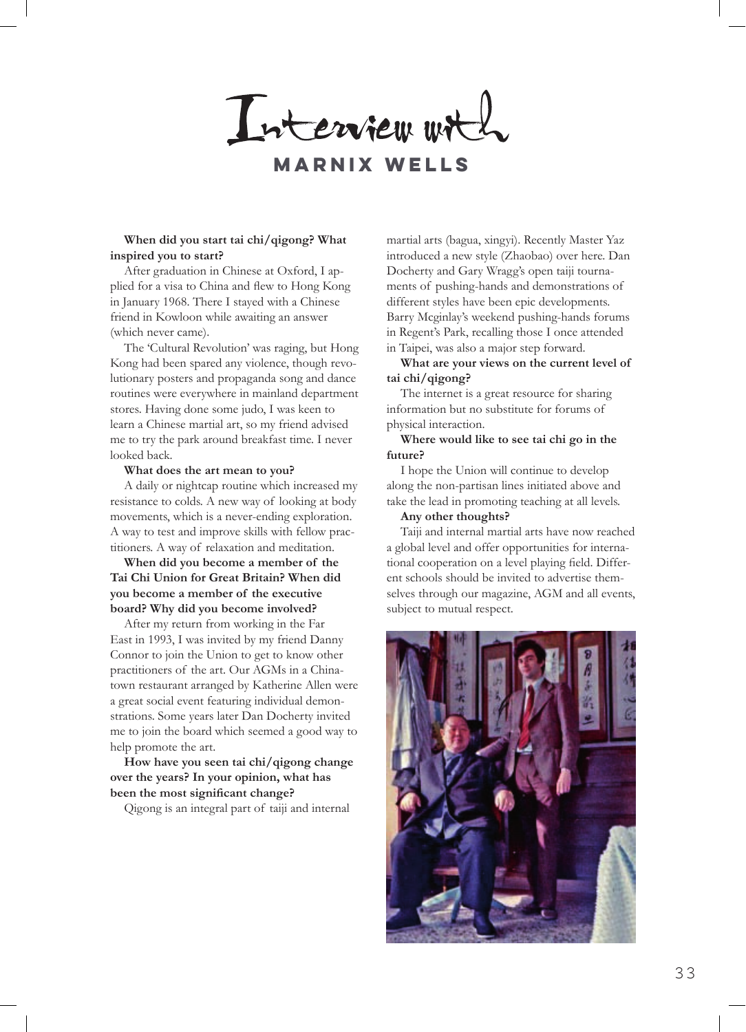Interview with

**Marnix wells**

#### **When did you start tai chi/qigong? What inspired you to start?**

After graduation in Chinese at Oxford, I applied for a visa to China and flew to Hong Kong in January 1968. There I stayed with a Chinese friend in Kowloon while awaiting an answer (which never came).

The 'Cultural Revolution' was raging, but Hong Kong had been spared any violence, though revolutionary posters and propaganda song and dance routines were everywhere in mainland department stores. Having done some judo, I was keen to learn a Chinese martial art, so my friend advised me to try the park around breakfast time. I never looked back.

#### **What does the art mean to you?**

A daily or nightcap routine which increased my resistance to colds. A new way of looking at body movements, which is a never-ending exploration. A way to test and improve skills with fellow practitioners. A way of relaxation and meditation.

# **When did you become a member of the Tai Chi Union for Great Britain? When did you become a member of the executive board? Why did you become involved?**

After my return from working in the Far East in 1993, I was invited by my friend Danny Connor to join the Union to get to know other practitioners of the art. Our AGMs in a Chinatown restaurant arranged by Katherine Allen were a great social event featuring individual demonstrations. Some years later Dan Docherty invited me to join the board which seemed a good way to help promote the art.

**How have you seen tai chi/qigong change over the years? In your opinion, what has been the most significant change?**

Qigong is an integral part of taiji and internal

martial arts (bagua, xingyi). Recently Master Yaz introduced a new style (Zhaobao) over here. Dan Docherty and Gary Wragg's open taiji tournaments of pushing-hands and demonstrations of different styles have been epic developments. Barry Mcginlay's weekend pushing-hands forums in Regent's Park, recalling those I once attended in Taipei, was also a major step forward.

**What are your views on the current level of tai chi/qigong?** 

The internet is a great resource for sharing information but no substitute for forums of physical interaction.

#### **Where would like to see tai chi go in the future?**

I hope the Union will continue to develop along the non-partisan lines initiated above and take the lead in promoting teaching at all levels.

#### **Any other thoughts?**

Taiji and internal martial arts have now reached a global level and offer opportunities for international cooperation on a level playing field. Different schools should be invited to advertise themselves through our magazine, AGM and all events, subject to mutual respect.

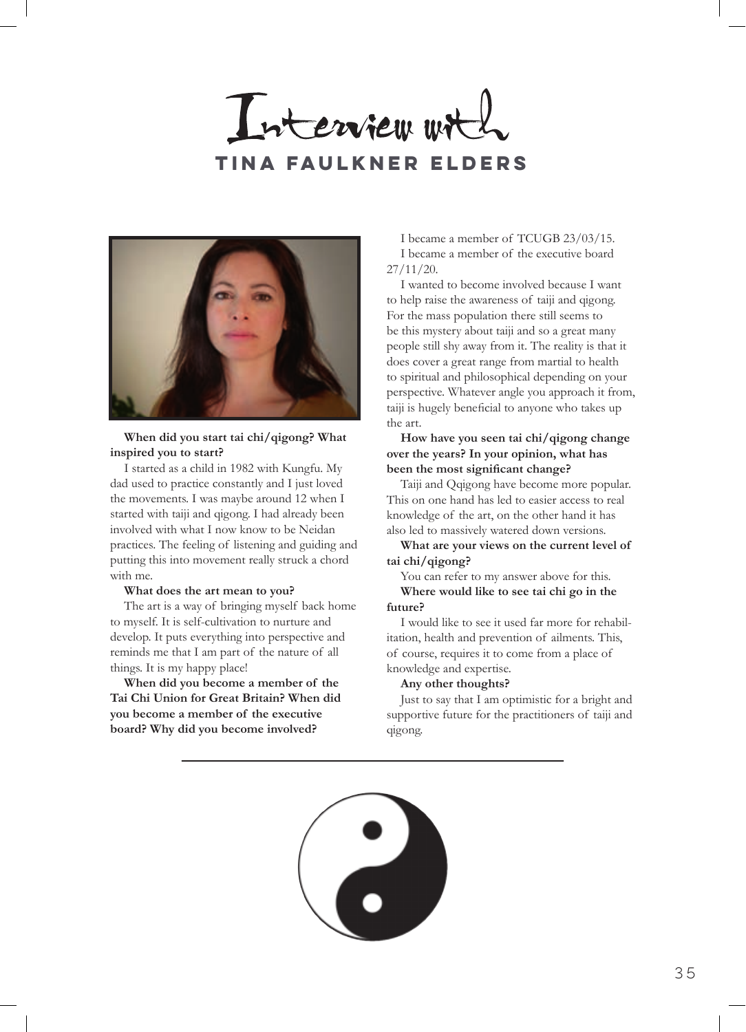Interview wit **tina faulkner elders**



I started as a child in 1982 with Kungfu. My dad used to practice constantly and I just loved the movements. I was maybe around 12 when I started with taiji and qigong. I had already been involved with what I now know to be Neidan practices. The feeling of listening and guiding and putting this into movement really struck a chord with me.

#### **What does the art mean to you?**

The art is a way of bringing myself back home to myself. It is self-cultivation to nurture and develop. It puts everything into perspective and reminds me that I am part of the nature of all things. It is my happy place!

**When did you become a member of the Tai Chi Union for Great Britain? When did you become a member of the executive board? Why did you become involved?**

I became a member of TCUGB 23/03/15. I became a member of the executive board 27/11/20.

I wanted to become involved because I want to help raise the awareness of taiji and qigong. For the mass population there still seems to be this mystery about taiji and so a great many people still shy away from it. The reality is that it does cover a great range from martial to health to spiritual and philosophical depending on your perspective. Whatever angle you approach it from, taiji is hugely beneficial to anyone who takes up the art.

**How have you seen tai chi/qigong change over the years? In your opinion, what has been the most significant change?**

Taiji and Qqigong have become more popular. This on one hand has led to easier access to real knowledge of the art, on the other hand it has also led to massively watered down versions.

**What are your views on the current level of tai chi/qigong?** 

You can refer to my answer above for this. **Where would like to see tai chi go in the future?** 

I would like to see it used far more for rehabilitation, health and prevention of ailments. This, of course, requires it to come from a place of knowledge and expertise.

#### **Any other thoughts?**

Just to say that I am optimistic for a bright and supportive future for the practitioners of taiji and qigong.

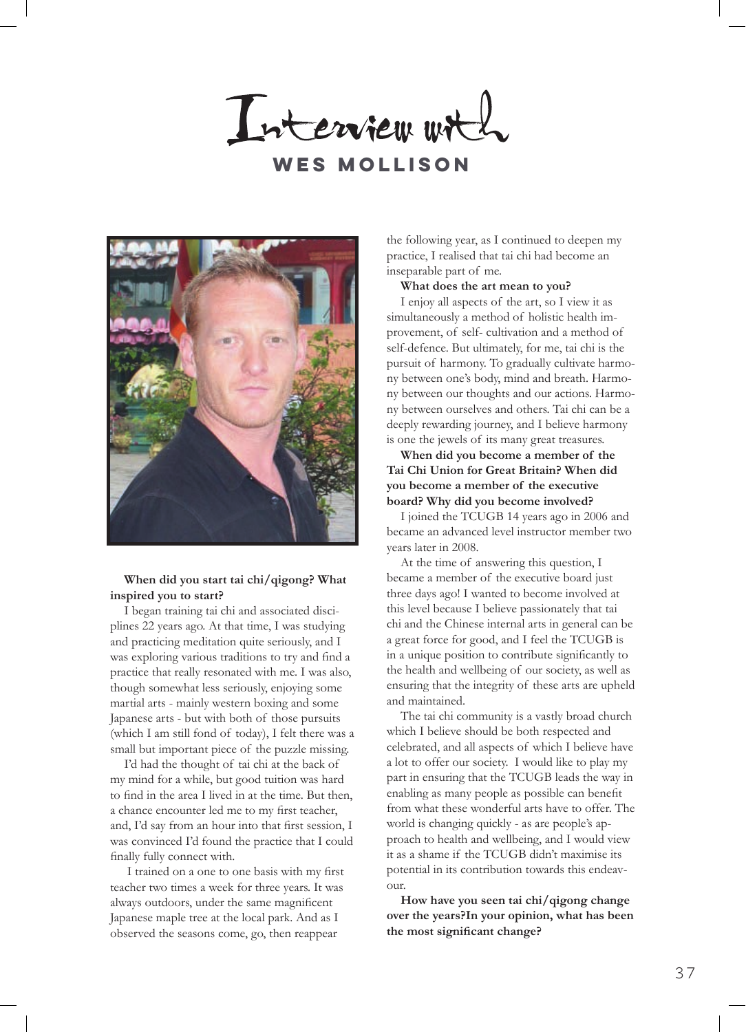Interview with **Wes mollison**



I began training tai chi and associated disciplines 22 years ago. At that time, I was studying and practicing meditation quite seriously, and I was exploring various traditions to try and find a practice that really resonated with me. I was also, though somewhat less seriously, enjoying some martial arts - mainly western boxing and some Japanese arts - but with both of those pursuits (which I am still fond of today), I felt there was a small but important piece of the puzzle missing.

I'd had the thought of tai chi at the back of my mind for a while, but good tuition was hard to find in the area I lived in at the time. But then, a chance encounter led me to my first teacher, and, I'd say from an hour into that first session, I was convinced I'd found the practice that I could finally fully connect with.

 I trained on a one to one basis with my first teacher two times a week for three years. It was always outdoors, under the same magnificent Japanese maple tree at the local park. And as I observed the seasons come, go, then reappear

the following year, as I continued to deepen my practice, I realised that tai chi had become an inseparable part of me.

**What does the art mean to you?**

I enjoy all aspects of the art, so I view it as simultaneously a method of holistic health improvement, of self- cultivation and a method of self-defence. But ultimately, for me, tai chi is the pursuit of harmony. To gradually cultivate harmony between one's body, mind and breath. Harmony between our thoughts and our actions. Harmony between ourselves and others. Tai chi can be a deeply rewarding journey, and I believe harmony is one the jewels of its many great treasures.

**When did you become a member of the Tai Chi Union for Great Britain? When did you become a member of the executive board? Why did you become involved?**

I joined the TCUGB 14 years ago in 2006 and became an advanced level instructor member two years later in 2008.

At the time of answering this question, I became a member of the executive board just three days ago! I wanted to become involved at this level because I believe passionately that tai chi and the Chinese internal arts in general can be a great force for good, and I feel the TCUGB is in a unique position to contribute significantly to the health and wellbeing of our society, as well as ensuring that the integrity of these arts are upheld and maintained.

The tai chi community is a vastly broad church which I believe should be both respected and celebrated, and all aspects of which I believe have a lot to offer our society. I would like to play my part in ensuring that the TCUGB leads the way in enabling as many people as possible can benefit from what these wonderful arts have to offer. The world is changing quickly - as are people's approach to health and wellbeing, and I would view it as a shame if the TCUGB didn't maximise its potential in its contribution towards this endeavour.

**How have you seen tai chi/qigong change over the years?In your opinion, what has been the most significant change?**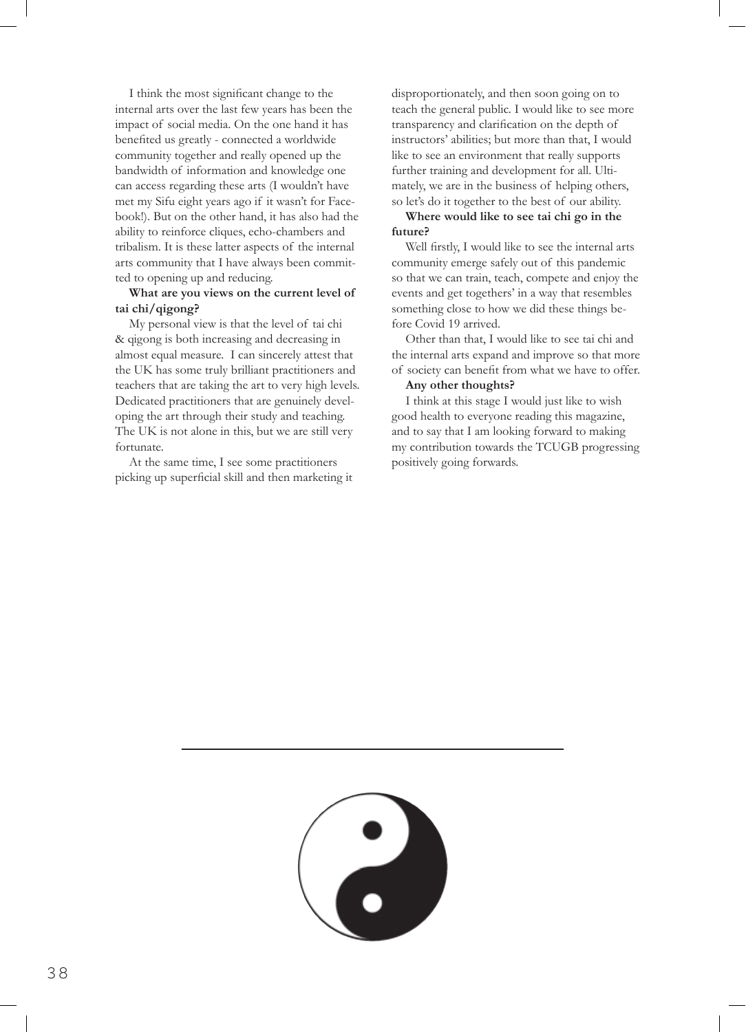I think the most significant change to the internal arts over the last few years has been the impact of social media. On the one hand it has benefited us greatly - connected a worldwide community together and really opened up the bandwidth of information and knowledge one can access regarding these arts (I wouldn't have met my Sifu eight years ago if it wasn't for Facebook!). But on the other hand, it has also had the ability to reinforce cliques, echo-chambers and tribalism. It is these latter aspects of the internal arts community that I have always been committed to opening up and reducing.

## **What are you views on the current level of tai chi/qigong?**

My personal view is that the level of tai chi & qigong is both increasing and decreasing in almost equal measure. I can sincerely attest that the UK has some truly brilliant practitioners and teachers that are taking the art to very high levels. Dedicated practitioners that are genuinely developing the art through their study and teaching. The UK is not alone in this, but we are still very fortunate.

At the same time, I see some practitioners picking up superficial skill and then marketing it disproportionately, and then soon going on to teach the general public. I would like to see more transparency and clarification on the depth of instructors' abilities; but more than that, I would like to see an environment that really supports further training and development for all. Ultimately, we are in the business of helping others, so let's do it together to the best of our ability.

## **Where would like to see tai chi go in the future?**

Well firstly, I would like to see the internal arts community emerge safely out of this pandemic so that we can train, teach, compete and enjoy the events and get togethers' in a way that resembles something close to how we did these things before Covid 19 arrived.

Other than that, I would like to see tai chi and the internal arts expand and improve so that more of society can benefit from what we have to offer.

#### **Any other thoughts?**

I think at this stage I would just like to wish good health to everyone reading this magazine, and to say that I am looking forward to making my contribution towards the TCUGB progressing positively going forwards.

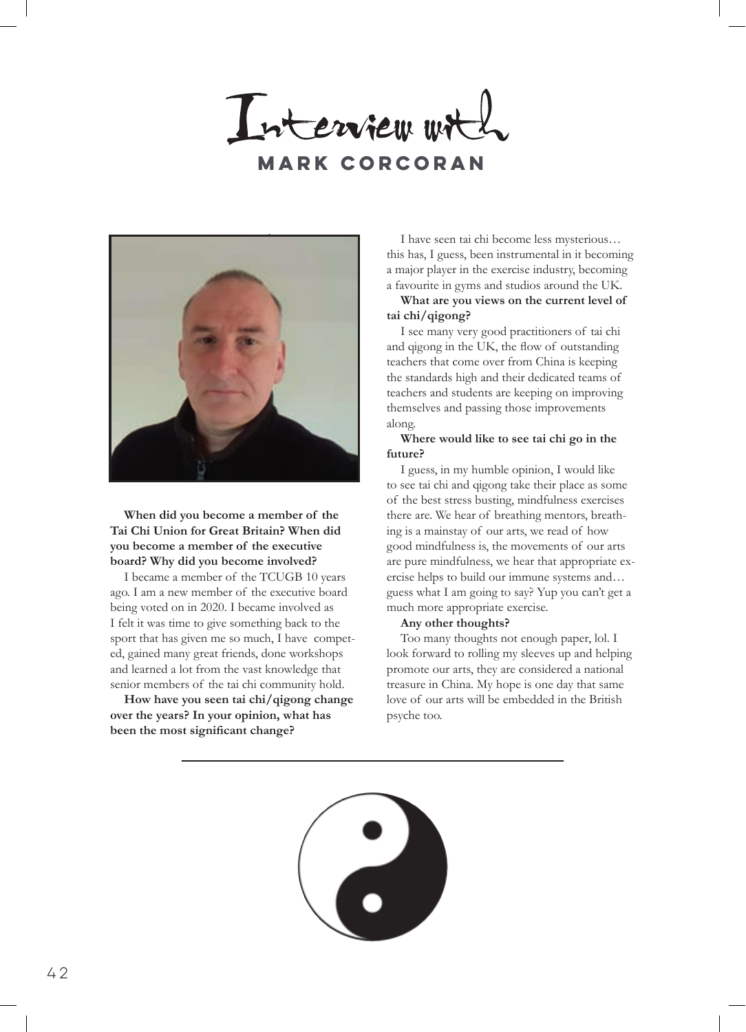Interview wit **Mark corcoran**



# **When did you become a member of the Tai Chi Union for Great Britain? When did you become a member of the executive board? Why did you become involved?**

I became a member of the TCUGB 10 years ago. I am a new member of the executive board being voted on in 2020. I became involved as I felt it was time to give something back to the sport that has given me so much, I have competed, gained many great friends, done workshops and learned a lot from the vast knowledge that senior members of the tai chi community hold.

**How have you seen tai chi/qigong change over the years? In your opinion, what has been the most significant change?**

I have seen tai chi become less mysterious… this has, I guess, been instrumental in it becoming a major player in the exercise industry, becoming a favourite in gyms and studios around the UK.

## **What are you views on the current level of tai chi/qigong?**

I see many very good practitioners of tai chi and qigong in the UK, the flow of outstanding teachers that come over from China is keeping the standards high and their dedicated teams of teachers and students are keeping on improving themselves and passing those improvements along.

## **Where would like to see tai chi go in the future?**

I guess, in my humble opinion, I would like to see tai chi and qigong take their place as some of the best stress busting, mindfulness exercises there are. We hear of breathing mentors, breathing is a mainstay of our arts, we read of how good mindfulness is, the movements of our arts are pure mindfulness, we hear that appropriate exercise helps to build our immune systems and… guess what I am going to say? Yup you can't get a much more appropriate exercise.

## **Any other thoughts?**

Too many thoughts not enough paper, lol. I look forward to rolling my sleeves up and helping promote our arts, they are considered a national treasure in China. My hope is one day that same love of our arts will be embedded in the British psyche too.

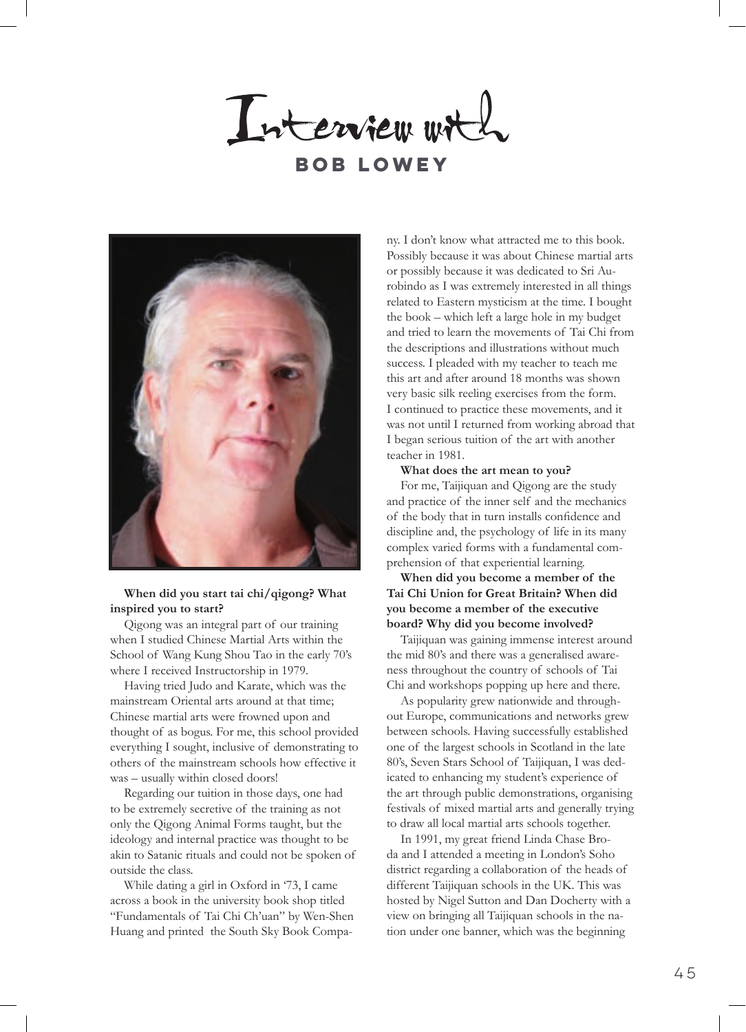Interview with **Bob lowey**



Qigong was an integral part of our training when I studied Chinese Martial Arts within the School of Wang Kung Shou Tao in the early 70's where I received Instructorship in 1979.

Having tried Judo and Karate, which was the mainstream Oriental arts around at that time; Chinese martial arts were frowned upon and thought of as bogus. For me, this school provided everything I sought, inclusive of demonstrating to others of the mainstream schools how effective it was – usually within closed doors!

Regarding our tuition in those days, one had to be extremely secretive of the training as not only the Qigong Animal Forms taught, but the ideology and internal practice was thought to be akin to Satanic rituals and could not be spoken of outside the class.

While dating a girl in Oxford in '73, I came across a book in the university book shop titled "Fundamentals of Tai Chi Ch'uan" by Wen-Shen Huang and printed the South Sky Book Company. I don't know what attracted me to this book. Possibly because it was about Chinese martial arts or possibly because it was dedicated to Sri Aurobindo as I was extremely interested in all things related to Eastern mysticism at the time. I bought the book – which left a large hole in my budget and tried to learn the movements of Tai Chi from the descriptions and illustrations without much success. I pleaded with my teacher to teach me this art and after around 18 months was shown very basic silk reeling exercises from the form. I continued to practice these movements, and it was not until I returned from working abroad that I began serious tuition of the art with another teacher in 1981.

#### **What does the art mean to you?**

For me, Taijiquan and Qigong are the study and practice of the inner self and the mechanics of the body that in turn installs confidence and discipline and, the psychology of life in its many complex varied forms with a fundamental comprehension of that experiential learning.

# **When did you become a member of the Tai Chi Union for Great Britain? When did you become a member of the executive board? Why did you become involved?**

Taijiquan was gaining immense interest around the mid 80's and there was a generalised awareness throughout the country of schools of Tai Chi and workshops popping up here and there.

As popularity grew nationwide and throughout Europe, communications and networks grew between schools. Having successfully established one of the largest schools in Scotland in the late 80's, Seven Stars School of Taijiquan, I was dedicated to enhancing my student's experience of the art through public demonstrations, organising festivals of mixed martial arts and generally trying to draw all local martial arts schools together.

In 1991, my great friend Linda Chase Broda and I attended a meeting in London's Soho district regarding a collaboration of the heads of different Taijiquan schools in the UK. This was hosted by Nigel Sutton and Dan Docherty with a view on bringing all Taijiquan schools in the nation under one banner, which was the beginning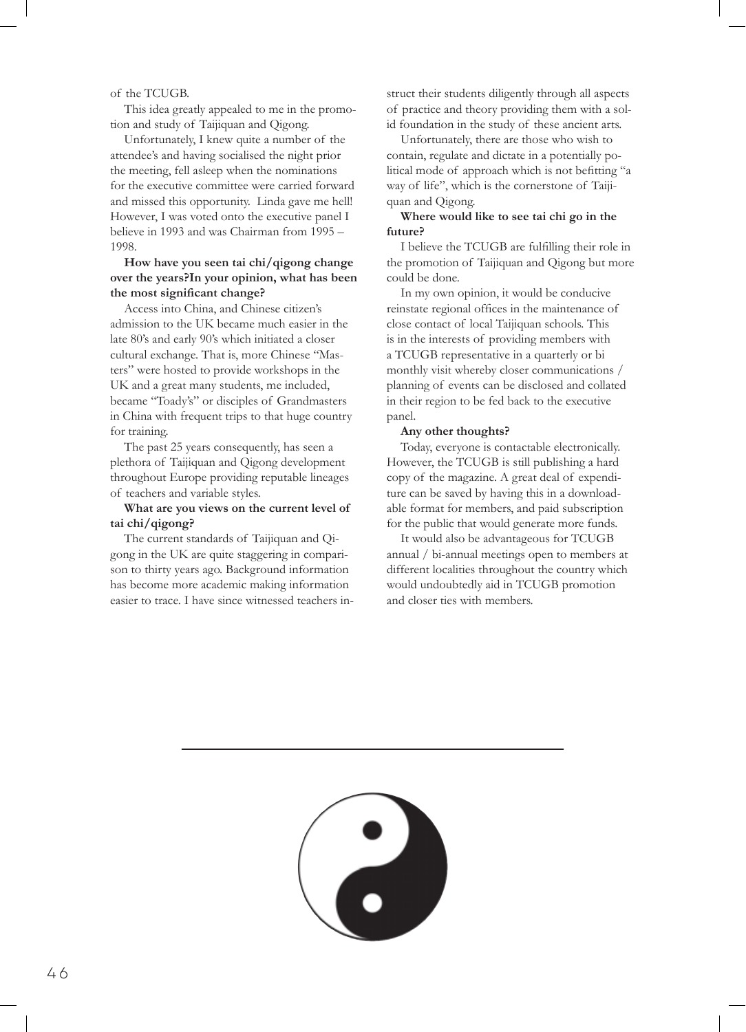of the TCUGB.

This idea greatly appealed to me in the promotion and study of Taijiquan and Qigong.

Unfortunately, I knew quite a number of the attendee's and having socialised the night prior the meeting, fell asleep when the nominations for the executive committee were carried forward and missed this opportunity. Linda gave me hell! However, I was voted onto the executive panel I believe in 1993 and was Chairman from 1995 – 1998.

# **How have you seen tai chi/qigong change over the years?In your opinion, what has been the most significant change?**

Access into China, and Chinese citizen's admission to the UK became much easier in the late 80's and early 90's which initiated a closer cultural exchange. That is, more Chinese "Masters" were hosted to provide workshops in the UK and a great many students, me included, became "Toady's" or disciples of Grandmasters in China with frequent trips to that huge country for training.

The past 25 years consequently, has seen a plethora of Taijiquan and Qigong development throughout Europe providing reputable lineages of teachers and variable styles.

## **What are you views on the current level of tai chi/qigong?**

The current standards of Taijiquan and Qigong in the UK are quite staggering in comparison to thirty years ago. Background information has become more academic making information easier to trace. I have since witnessed teachers instruct their students diligently through all aspects of practice and theory providing them with a solid foundation in the study of these ancient arts.

Unfortunately, there are those who wish to contain, regulate and dictate in a potentially political mode of approach which is not befitting "a way of life", which is the cornerstone of Taijiquan and Qigong.

## **Where would like to see tai chi go in the future?**

I believe the TCUGB are fulfilling their role in the promotion of Taijiquan and Qigong but more could be done.

In my own opinion, it would be conducive reinstate regional offices in the maintenance of close contact of local Taijiquan schools. This is in the interests of providing members with a TCUGB representative in a quarterly or bi monthly visit whereby closer communications / planning of events can be disclosed and collated in their region to be fed back to the executive panel.

#### **Any other thoughts?**

Today, everyone is contactable electronically. However, the TCUGB is still publishing a hard copy of the magazine. A great deal of expenditure can be saved by having this in a downloadable format for members, and paid subscription for the public that would generate more funds.

It would also be advantageous for TCUGB annual / bi-annual meetings open to members at different localities throughout the country which would undoubtedly aid in TCUGB promotion and closer ties with members.